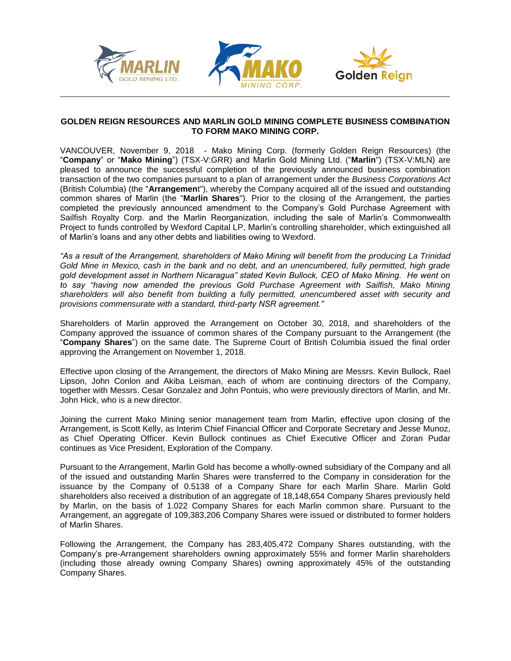





# **GOLDEN REIGN RESOURCES AND MARLIN GOLD MINING COMPLETE BUSINESS COMBINATION TO FORM MAKO MINING CORP.**

VANCOUVER, November 9, 2018 - Mako Mining Corp. (formerly Golden Reign Resources) (the "**Company**" or "**Mako Mining**") (TSX-V:GRR) and Marlin Gold Mining Ltd. ("**Marlin**") (TSX-V:MLN) are pleased to announce the successful completion of the previously announced business combination transaction of the two companies pursuant to a plan of arrangement under the *Business Corporations Act* (British Columbia) (the "**Arrangemen**t"), whereby the Company acquired all of the issued and outstanding common shares of Marlin (the "**Marlin Shares**"). Prior to the closing of the Arrangement, the parties completed the previously announced amendment to the Company's Gold Purchase Agreement with Sailfish Royalty Corp. and the Marlin Reorganization, including the sale of Marlin's Commonwealth Project to funds controlled by Wexford Capital LP, Marlin's controlling shareholder, which extinguished all of Marlin's loans and any other debts and liabilities owing to Wexford.

*"As a result of the Arrangement, shareholders of Mako Mining will benefit from the producing La Trinidad Gold Mine in Mexico, cash in the bank and no debt, and an unencumbered, fully permitted, high grade gold development asset in Northern Nicaragua" stated Kevin Bullock, CEO of Mako Mining. He went on to say "having now amended the previous Gold Purchase Agreement with Sailfish, Mako Mining shareholders will also benefit from building a fully permitted, unencumbered asset with security and provisions commensurate with a standard, third-party NSR agreement."* 

Shareholders of Marlin approved the Arrangement on October 30, 2018, and shareholders of the Company approved the issuance of common shares of the Company pursuant to the Arrangement (the "**Company Shares**") on the same date. The Supreme Court of British Columbia issued the final order approving the Arrangement on November 1, 2018.

Effective upon closing of the Arrangement, the directors of Mako Mining are Messrs. Kevin Bullock, Rael Lipson, John Conlon and Akiba Leisman, each of whom are continuing directors of the Company, together with Messrs. Cesar Gonzalez and John Pontuis, who were previously directors of Marlin, and Mr. John Hick, who is a new director.

Joining the current Mako Mining senior management team from Marlin, effective upon closing of the Arrangement, is Scott Kelly, as Interim Chief Financial Officer and Corporate Secretary and Jesse Munoz, as Chief Operating Officer. Kevin Bullock continues as Chief Executive Officer and Zoran Pudar continues as Vice President, Exploration of the Company.

Pursuant to the Arrangement, Marlin Gold has become a wholly-owned subsidiary of the Company and all of the issued and outstanding Marlin Shares were transferred to the Company in consideration for the issuance by the Company of 0.5138 of a Company Share for each Marlin Share. Marlin Gold shareholders also received a distribution of an aggregate of 18,148,654 Company Shares previously held by Marlin, on the basis of 1.022 Company Shares for each Marlin common share. Pursuant to the Arrangement, an aggregate of 109,383,206 Company Shares were issued or distributed to former holders of Marlin Shares.

Following the Arrangement, the Company has 283,405,472 Company Shares outstanding, with the Company's pre-Arrangement shareholders owning approximately 55% and former Marlin shareholders (including those already owning Company Shares) owning approximately 45% of the outstanding Company Shares.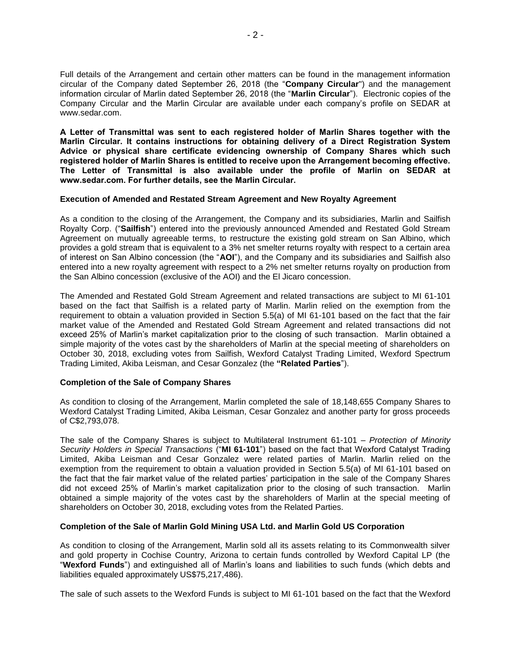Full details of the Arrangement and certain other matters can be found in the management information circular of the Company dated September 26, 2018 (the "**Company Circular**") and the management information circular of Marlin dated September 26, 2018 (the "**Marlin Circular**"). Electronic copies of the Company Circular and the Marlin Circular are available under each company's profile on SEDAR at www.sedar.com.

**A Letter of Transmittal was sent to each registered holder of Marlin Shares together with the Marlin Circular. It contains instructions for obtaining delivery of a Direct Registration System Advice or physical share certificate evidencing ownership of Company Shares which such registered holder of Marlin Shares is entitled to receive upon the Arrangement becoming effective. The Letter of Transmittal is also available under the profile of Marlin on SEDAR at www.sedar.com. For further details, see the Marlin Circular.**

### **Execution of Amended and Restated Stream Agreement and New Royalty Agreement**

As a condition to the closing of the Arrangement, the Company and its subsidiaries, Marlin and Sailfish Royalty Corp. ("**Sailfish**") entered into the previously announced Amended and Restated Gold Stream Agreement on mutually agreeable terms, to restructure the existing gold stream on San Albino, which provides a gold stream that is equivalent to a 3% net smelter returns royalty with respect to a certain area of interest on San Albino concession (the "**AOI**"), and the Company and its subsidiaries and Sailfish also entered into a new royalty agreement with respect to a 2% net smelter returns royalty on production from the San Albino concession (exclusive of the AOI) and the El Jicaro concession.

The Amended and Restated Gold Stream Agreement and related transactions are subject to MI 61-101 based on the fact that Sailfish is a related party of Marlin. Marlin relied on the exemption from the requirement to obtain a valuation provided in Section 5.5(a) of MI 61-101 based on the fact that the fair market value of the Amended and Restated Gold Stream Agreement and related transactions did not exceed 25% of Marlin's market capitalization prior to the closing of such transaction. Marlin obtained a simple majority of the votes cast by the shareholders of Marlin at the special meeting of shareholders on October 30, 2018, excluding votes from Sailfish, Wexford Catalyst Trading Limited, Wexford Spectrum Trading Limited, Akiba Leisman, and Cesar Gonzalez (the **"Related Parties**").

## **Completion of the Sale of Company Shares**

As condition to closing of the Arrangement, Marlin completed the sale of 18,148,655 Company Shares to Wexford Catalyst Trading Limited, Akiba Leisman, Cesar Gonzalez and another party for gross proceeds of C\$2,793,078.

The sale of the Company Shares is subject to Multilateral Instrument 61-101 – *Protection of Minority Security Holders in Special Transactions* ("**MI 61-101**") based on the fact that Wexford Catalyst Trading Limited, Akiba Leisman and Cesar Gonzalez were related parties of Marlin. Marlin relied on the exemption from the requirement to obtain a valuation provided in Section 5.5(a) of MI 61-101 based on the fact that the fair market value of the related parties' participation in the sale of the Company Shares did not exceed 25% of Marlin's market capitalization prior to the closing of such transaction. Marlin obtained a simple majority of the votes cast by the shareholders of Marlin at the special meeting of shareholders on October 30, 2018, excluding votes from the Related Parties.

#### **Completion of the Sale of Marlin Gold Mining USA Ltd. and Marlin Gold US Corporation**

As condition to closing of the Arrangement, Marlin sold all its assets relating to its Commonwealth silver and gold property in Cochise Country, Arizona to certain funds controlled by Wexford Capital LP (the "**Wexford Funds**") and extinguished all of Marlin's loans and liabilities to such funds (which debts and liabilities equaled approximately US\$75,217,486).

The sale of such assets to the Wexford Funds is subject to MI 61-101 based on the fact that the Wexford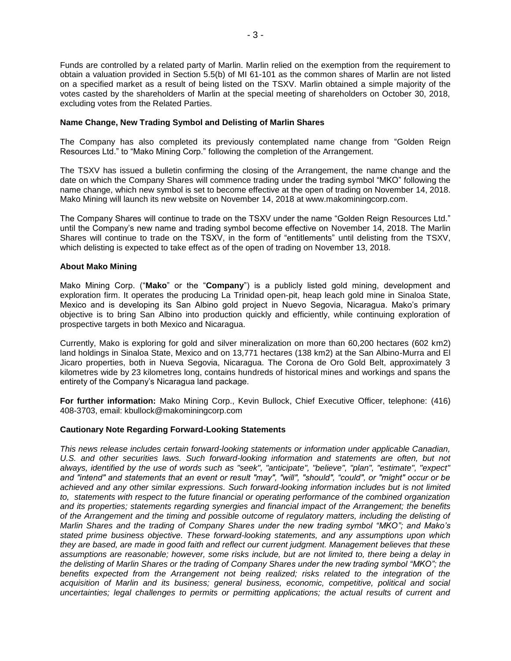Funds are controlled by a related party of Marlin. Marlin relied on the exemption from the requirement to obtain a valuation provided in Section 5.5(b) of MI 61-101 as the common shares of Marlin are not listed on a specified market as a result of being listed on the TSXV. Marlin obtained a simple majority of the votes casted by the shareholders of Marlin at the special meeting of shareholders on October 30, 2018, excluding votes from the Related Parties.

# **Name Change, New Trading Symbol and Delisting of Marlin Shares**

The Company has also completed its previously contemplated name change from "Golden Reign Resources Ltd." to "Mako Mining Corp." following the completion of the Arrangement.

The TSXV has issued a bulletin confirming the closing of the Arrangement, the name change and the date on which the Company Shares will commence trading under the trading symbol "MKO" following the name change, which new symbol is set to become effective at the open of trading on November 14, 2018. Mako Mining will launch its new website on November 14, 2018 at www.makominingcorp.com.

The Company Shares will continue to trade on the TSXV under the name "Golden Reign Resources Ltd." until the Company's new name and trading symbol become effective on November 14, 2018. The Marlin Shares will continue to trade on the TSXV, in the form of "entitlements" until delisting from the TSXV, which delisting is expected to take effect as of the open of trading on November 13, 2018.

## **About Mako Mining**

Mako Mining Corp. ("**Mako**" or the "**Company**") is a publicly listed gold mining, development and exploration firm. It operates the producing La Trinidad open-pit, heap leach gold mine in Sinaloa State, Mexico and is developing its San Albino gold project in Nuevo Segovia, Nicaragua. Mako's primary objective is to bring San Albino into production quickly and efficiently, while continuing exploration of prospective targets in both Mexico and Nicaragua.

Currently, Mako is exploring for gold and silver mineralization on more than 60,200 hectares (602 km2) land holdings in Sinaloa State, Mexico and on 13,771 hectares (138 km2) at the San Albino-Murra and El Jicaro properties, both in Nueva Segovia, Nicaragua. The Corona de Oro Gold Belt, approximately 3 kilometres wide by 23 kilometres long, contains hundreds of historical mines and workings and spans the entirety of the Company's Nicaragua land package.

**For further information:** Mako Mining Corp., Kevin Bullock, Chief Executive Officer, telephone: (416) 408-3703, email: kbullock@makominingcorp.com

## **Cautionary Note Regarding Forward-Looking Statements**

*This news release includes certain forward-looking statements or information under applicable Canadian,*  U.S. and other securities laws. Such forward-looking information and statements are often, but not *always, identified by the use of words such as "seek", "anticipate", "believe", "plan", "estimate", "expect" and "intend" and statements that an event or result "may", "will", "should", "could", or "might" occur or be achieved and any other similar expressions. Such forward-looking information includes but is not limited to, statements with respect to the future financial or operating performance of the combined organization and its properties; statements regarding synergies and financial impact of the Arrangement; the benefits of the Arrangement and the timing and possible outcome of regulatory matters, including the delisting of Marlin Shares and the trading of Company Shares under the new trading symbol "MKO"; and Mako's stated prime business objective. These forward-looking statements, and any assumptions upon which they are based, are made in good faith and reflect our current judgment. Management believes that these assumptions are reasonable; however, some risks include, but are not limited to, there being a delay in the delisting of Marlin Shares or the trading of Company Shares under the new trading symbol "MKO"; the*  benefits expected from the Arrangement not being realized; risks related to the integration of the *acquisition of Marlin and its business; general business, economic, competitive, political and social uncertainties; legal challenges to permits or permitting applications; the actual results of current and*